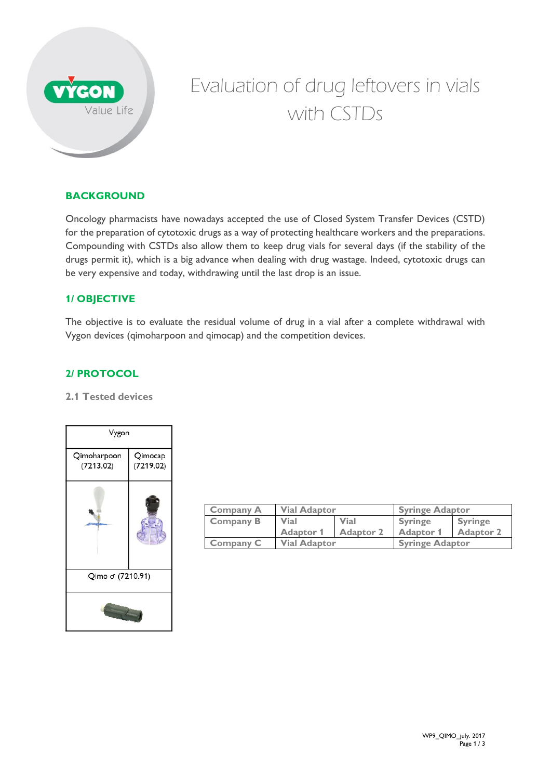

# Evaluation of drug leftovers in vials with CSTDs

## **BACKGROUND**

Oncology pharmacists have nowadays accepted the use of Closed System Transfer Devices (CSTD) for the preparation of cytotoxic drugs as a way of protecting healthcare workers and the preparations. Compounding with CSTDs also allow them to keep drug vials for several days (if the stability of the drugs permit it), which is a big advance when dealing with drug wastage. Indeed, cytotoxic drugs can be very expensive and today, withdrawing until the last drop is an issue.

## **1/ OBJECTIVE**

The objective is to evaluate the residual volume of drug in a vial after a complete withdrawal with Vygon devices (qimoharpoon and qimocap) and the competition devices.

## **2/ PROTOCOL**

#### **2.1 Tested devices**



| <b>Company A</b> | <b>Vial Adaptor</b> |                  | <b>Syringe Adaptor</b> |                  |
|------------------|---------------------|------------------|------------------------|------------------|
| <b>Company B</b> | <b>Vial</b>         | <b>Vial</b>      | <b>Syringe</b>         | <b>Syringe</b>   |
|                  | <b>Adaptor 1</b>    | <b>Adaptor 2</b> | <b>Adaptor 1</b>       | <b>Adaptor 2</b> |
| <b>Company C</b> | <b>Vial Adaptor</b> |                  | <b>Syringe Adaptor</b> |                  |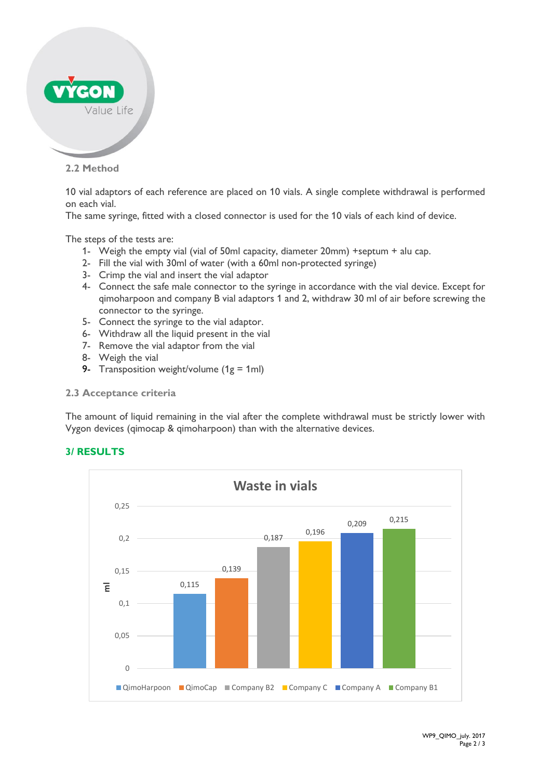

**2.2 Method** 

10 vial adaptors of each reference are placed on 10 vials. A single complete withdrawal is performed on each vial.

The same syringe, fitted with a closed connector is used for the 10 vials of each kind of device.

The steps of the tests are:

- 1- Weigh the empty vial (vial of 50ml capacity, diameter 20mm) +septum + alu cap.
- 2- Fill the vial with 30ml of water (with a 60ml non-protected syringe)
- 3- Crimp the vial and insert the vial adaptor
- 4- Connect the safe male connector to the syringe in accordance with the vial device. Except for qimoharpoon and company B vial adaptors 1 and 2, withdraw 30 ml of air before screwing the connector to the syringe.
- 5- Connect the syringe to the vial adaptor.
- 6- Withdraw all the liquid present in the vial
- 7- Remove the vial adaptor from the vial
- 8- Weigh the vial
- 9- Transposition weight/volume  $(1g = 1ml)$
- **2.3 Acceptance criteria**

The amount of liquid remaining in the vial after the complete withdrawal must be strictly lower with Vygon devices (qimocap & qimoharpoon) than with the alternative devices.



## **3/ RESULTS**